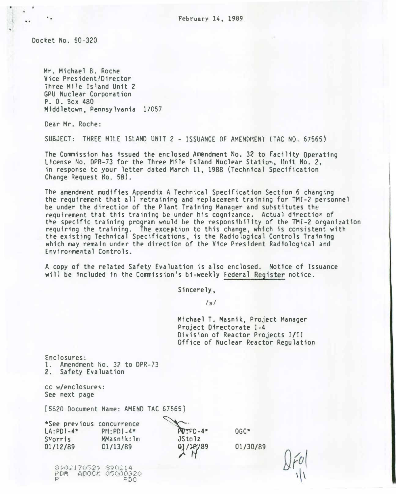Docket No. 50-320

..

Mr. Michael B. Roche Vice President/Director Three Mile Island Unit 2 GPU Nuclear Corporation P. 0. Box 480 Middletown, Pennsylvania 17057

Dear Mr. Roche:

SUBJECT: THREE MILE ISLAND UNIT 2 - ISSUANCE OF AMENDMENT (TAC NO. 67565)

The Commission has issued the enclosed Amendment No. 32 to Facility Operating License �o. DPR-73 for the Three Mile Island Nuclear Station, Unit No. 2, in response to your letter dated March 11, 1988 (Technical Specification Change Request No. 58).

The amendment modifies Appendix A Technical Specification Section 6 changing the requirement that all retraining and replacement training for TMI-? personnel be under the direction of the Plant Training Manager and substitutes the requirement that this training be under his cognizance. Actual direction of the specific training program would be the responsibility of the TMI-2 organization requiring the training. The exception to this change, which is consistent with the existing Technical Specifications, is the Radiological Controls Training which may remain under the direction of the Vice President Radiological and Environmental Controls.

A copy of the related Safety Evaluation is also enclosed. Notice of Issuance will be included in the Commission's bi-we�kly Federal Register notice.

Sincerely,

/s/

Michael T. Masnik, Project Manager Project Directorate I-4 Division of Reactor Projects 1/II Office of Nuclear Reactor Regulation

Enclosures: 1. Amendment No. 32 to DPR-73 2. Safety Evaluation

cc w/enclosures: See next page

[5520 Document Name: AMEND TAC 67565]

\*See previous concurrence  $LA:PDI-4*$ **SNorris** 01/12/89 Pti:PDT-4\* MMasnik:lm 01/13/89

 $\text{AV-PD-4*}$  OGC\* JSto lz 9/14

01/30/89

890�170�2Q 8�0�14 FDR ADOCK OSOOO320  $PTD$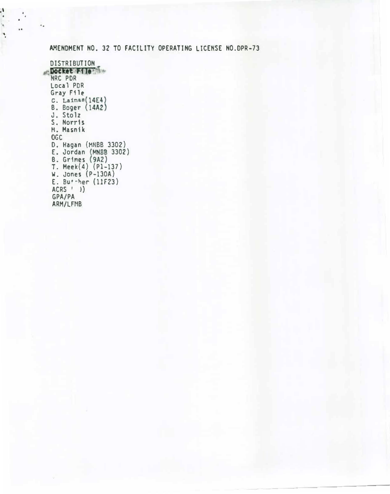# AMENDMENT NO. 32 TO FACILITY OPERATING LICENSE NO.DPR-73

DISTRIBUTION Docket File HRC POR Local PDR Gray F11e  $C.$  Lainas $(14E4)$ B. Boger (14A2) J. Sto 1z S. Norris M. Masnik OGC D. Hagan (HNBB 3302) E. Jordan MNBB 3302) B. Grimes ( <sup>9</sup>A2) T. Meek(4) (Pl-137) W. Jones (P-130A) E. Buther  $(11F23)$ ACRS ' )) GPA/PA ARM/LFMB

·'

' .  $\cdots$ 

'•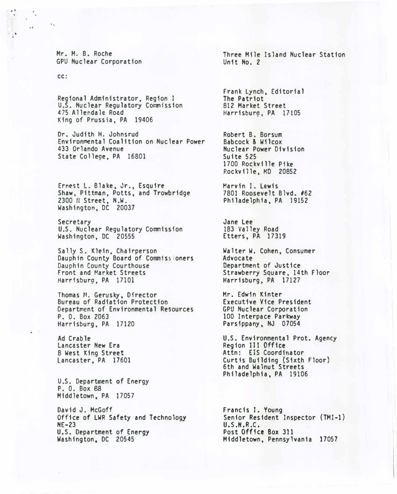Mr. H. B. Roche GPU Nuclear Corporation

cc:

..

 $\cdot$  '

Regional Administrator, Region I U.S. Nuclear Regulatory Commission 475 Allendale Road King of Prussia, PA 19406

Or. Judith H. Johnsrud Environmental Coalition on Nuclear Power 433 Orlando Avenue State College, PA 16801

Ernest L. Blake, Jr., Esquire Shaw, Pittman, Potts, and Trowbridge 2300 II Street, N.W. Washington, DC 20037

Secretary U.S. Nuclear Regulatory Commission Washington, DC 20555

Sally S. Klein, Chairperson Dauphin County Board of Commissioners Dauphin County Courthouse Front and Market Streets Harrisbur9, PA 17101

Thomas M. Gerusky, Director Bureau of Radiation Protection Department of Environmental Resources P. 0. Box 2063 Harrisburg, PA 17120

Ad Crable Lancaster New Era 8 West King Street lancaster, PA 17601

U.S. Department of Energy P. 0. Box 88 Middletown, PA 17057

David J. McGoff Office of LWR Safety and Technology NE-23 U.S. Department of Energy Washington, DC 20545

Three Mile Island Nuclear Station Unit No. 2

Frank Lynch, Editorial The Patriot 812 Market Street Harrisburg, PA 17105

Robert B. Borsum Babcock & Wilcox Nuclear Power Division Suite 525 1700 Rockville Pike Rockville, MD 20852

Marvin I. Lewis 7801 Roosevelt Blvd. 162 Philadelphia, PA 19152

Jane Lee 183 Valley Road Etters, PA 17319

Walter W. Cohen, Consumer Advocate Department of Justice Strawberry Square, 14th Floor Harrisburg, PA 17127

Hr. Edwin Kinter Executive Vice President GPU Nuclear Corporation 100 Interpace Parkway Parsippany, NJ 07054

U.S. Environmental Prot. Agency Region Ill Office Attn: EIS Coordinator Curtis Building {Sixth Floor) 6th and Walnut Streets Philadelphia, PA 19106

Francis I. Young Senior Resident Inspector (TMI-1) U.S.H.R.C. Post Office Box 311 Middletown, Pennsylvania 17057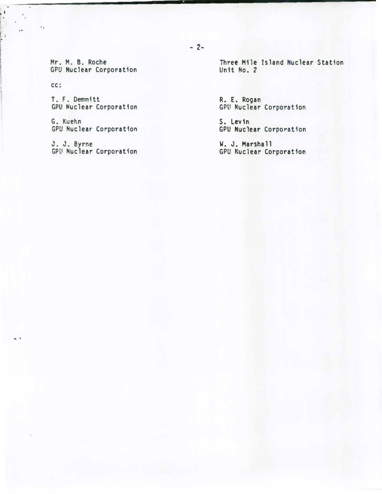Mr. M. B. Roche GPU Nuclear Corporation

cc:

..

 $\ddot{\cdot}$ 

 $\ddot{\phantom{a}}$ 

 $\sim$   $^{\circ}$ 

T. F. Oemmftt GPU �uclear Corporation

G. Kuehn GPU Nuclear Corporation

J. J. Byrne GPU Nuclear Corporation Three Mile Island Nuclear Station Unit No. 2

R. E. Rogan GPU Nuclear Corporation

S. levin GPU Nuclear Corporation

W. J. Marshall GPU Nuclear Corporation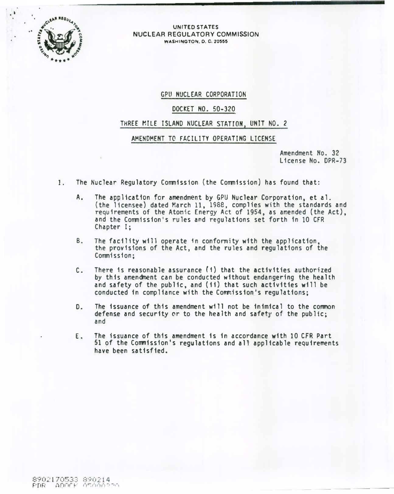

#### UNITED STATES NUCLEAR REGULATORY COMMISSION WASHINGTON, 0. C. 20555

# GPU NUCLEAR CORPORATION

# DOCKET NO. 50-320

# THREE MILE ISLAND NUCLEAR STATION, UNIT NO. 2

# AMENDMENT TO FACILITY OPERATING LICENSE

Amendment No. 32 License No. DPR-73

- 1. The Nuclear Regulatory Commission (the Commission) has found that:
	- A. The app11cat1on for amendment by GPU Nuclear Corporation, et al. (the licensee) dated March 11, 1988, complies with the standards and requirements of the Atomic Energy Act of 1954, as amended (the Act), and the Commission's rules and regulations set forth 1n 10 CfR Chapter I;
	- B. The facility will operate fn conformity with the application, the provisions of the Act, and the rules and regulations of the Commission;
	- C. There is reasonable assurance (i) that the activities authorized by this amendment can be conducted without endangering the health and safety of the public, and (ii) that such activities will be conducted in compliance with the Commission's regulations;
	- D. The issuance of this amendment will not be inimical to the common defense and security or to the health and safety of the public; and
	- E. The issuance of this amendment is in accordance with 10 CfR Part 51 of the Commission's regulations and all applicable requirements have been satisfied.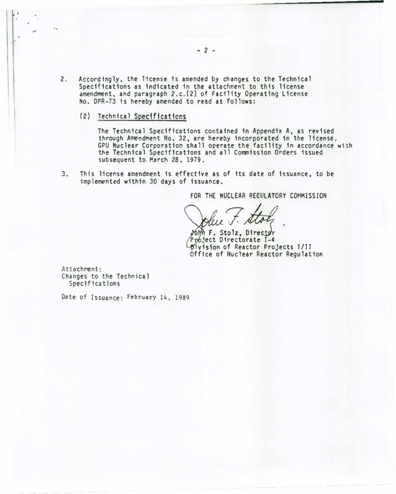- 2. Accordingly, the license is amended by changes to the Technical Specifications as indicated in the attachment to this license amendment, and paragraph 2.c.(2) of facility Operating license No. DPR-73 is hereby amended to read as follows:
	- (2) Technical Specifications

¥.

The Technical Specifications contained in Appendix A, as revised through Amendment No. 32, are hereby incorporated fn the license . GPU Nuclear Corporation shall operate the facility in accordance with the Technical Specifications and all Commission Orders issued subsequent to March 28, 1979.

3. This license amendment is effective as of its date of issuance, to be implemented within 30 days of issuance.

FOR THE NUCLEAR REGULATORY COMMISSION

6hh F. Stolz, Director Project Directorate I-4 iv1sion of Reactor Projects J/JJ Office of Nuclear Reactor Regulation

Attachment: Changes to the Technical Specifications

Date of Issuance: February 14, 1989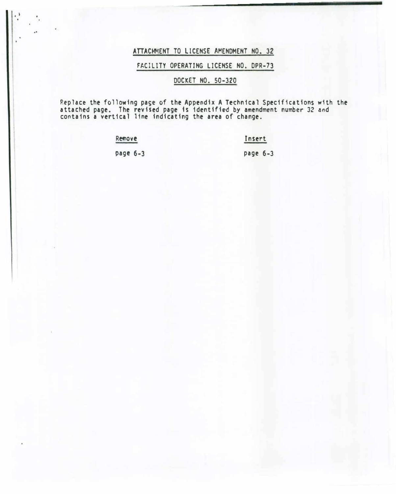# ATTACHMENT TO LICENSE AMENDMENT NO. 32

 $| \cdot \rangle$ .

 $\cdot$ 

# FAClllTY OPERATING LICENSE NO. OPR-73

# DOCKET NO. 50-320

P.eplace the following page of the Appendix A Technical Specifications with the attached page. The revised page 1s identified by amendment number 32 and contains a vertical 11ne indicating the area of change.

> Remove Insert page 6-3 page 6-3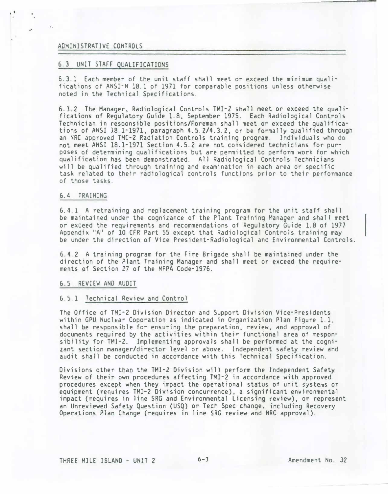## ADMINISTRATIVE CONTROLS

. '

## 6.3 UNIT STAFF QUALIFICATIONS

6.3.1 Each member of the unit staff shall meet or exceed the minimum qualifications of ANSI-N 18.1 of 1971 for comparable positions unless otherwise noted in the Technical Specifications.

6.3.2 The Manager, Radiological Controls TMI-2 shall meet or exceed the qualifications of Regulatory Guide 1.8, September 1975. Each Radiological Controls Technician in responsible positions/Foreman shall meet or exceed the qualifications of ANSI 18.1-1971, paragraph 4.5.2/4.3.2, or be formally qualified through an NRC approved TMI-2 Radiation Controls training program. Individuals who do not meet ANSI 18.1-1971 Section 4.5.2 are not considered technicians for purposes of determining qualifications but are permitted to perform work for which qualification has been demonstrated. All Radiological Controls Technicians will be qualified through training and examination in each area or specific task related to their radiological controls functions prior to their performance of those tasks.

### 6.4 TRAINING

6.4.1 A retraining and replacement training program for the unit staff shall be maintained under the cognizance of the Plant Training Manager and shall meet or exceed the requirements and recommendations of Regulatory Guide 1.8 of 1977 Appendix "A" of 10 CFR Part 55 except that Radiological Controls training may be under the direction of Vice President-Radiological and Environmental Controls.

6.4.2 A training program for the Fire Brigade shall be maintained under the direction of the Plant Training Manager and shall meet or exceed the requirements of Section 27 of the NFPA Code-1976.

#### 6.5 REVIEW AND AUDIT

#### 6.5.1 Technical Review and Control

The Office of TMI-2 Division Director and Support Division Vice-Presidents within GPU Nuclear Coporation as indicated in Organization Plan Figure 1.1, shall be responsible for ensuring the preparation, review, and approval of documents required by the activities within their functional area of responsibility for TMI-2. Implementing approvals shall be performed at the cognizant section manager/director level or above. Independent safety review and audit shall be conducted in accordance with this Technical Specification.

Divisions other than the TMI-2 Division will perform the Independent Safety Review of their own procedures affecting TMI-2 in accordance with �pproved procedures except when they impact the operational status of unit systems or equipment (requires TMI-2 Division concurrence), a significant environmental impact (requires in line SRG and Environmental Licensing review), or represent an Unreviewed Safety Question (USQ) or Tech Spec change, including Recovery Operations Plan Change (requires in line SRG review and NRC approval).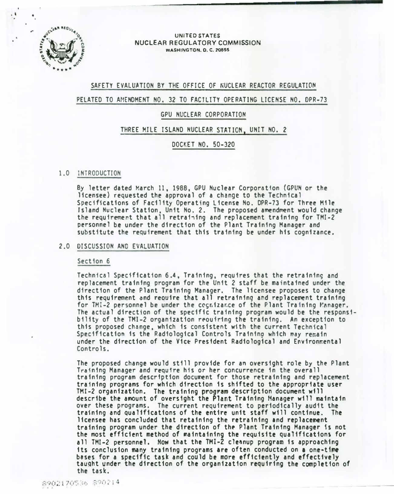

. '

## UNITED STATES NUCLEAR REGULATORY COMMISSION **WASHINGTON. D. C. 20555**

## SAFETY EVALUATION BY THE OFFICE OF NUCLEAR REACTOR REGULATION

## PELATED TO AMENDMENT NO. 32 TO FACILITY OPERATING LICENSE NO. DPR-73

## GPU NUCLEAR CORPORATION

## THREE MILE ISLAND NUCLEAR STAT ION, UNIT NO. 2

# DOCKET NO. 50-320

## 1.0 INTRODUCTION

By letter dated March 11, 1988, GPU Nuclear Corporation (GPUN or the licensee) requested the approval of a change to the Technical Specifications of Facility Operating license No. OPR-73 for Three Mile Island Nuclear Station. Unit No. 2. The proposed amendment would change the requirement that all retrafiing and replacement training for TMI-2 personnel be under the direction of the Plant Training Manager and substitute the requirement that this training be under his cognizance.

#### 2.0 DISCUSSION AND EVALUATION

### Section 6

Technical Specification 6.4, Training. requires that the retraining and replacement training program for the Unit 2 staff be maintained under the direction of the Plant Training Manager. The licensee proposes to change this requirement and reouire that all retraining and replacement training for TMI-2 personnel be under the cognizance of the Plant Training Manager. The actual direction of the specific training program would be the responsibility of the TMI-2 organization reouiring the training. An exception to this proposed change, which is consistent with the current Technical Specification is the Radiological Controls Training which may remain under the direction of the Vic� President Radiological and Environmental Controls.

The proposed change would still provide for an oversight role by the Plant Training Manager and r�qufre his or her concurrence in the overall training program description document for those retraining and replacement training programs for which direction 1s shifted to the appropriate user  $TMI-2$  organization. The training program description document will describe the amount of oversight the Plant Training Manager will maintain over these programs. The current requirement to periodically audit the training and qualifications of the entire unit staff will continue. The licensee has concluded that retaining the retraining &nd replacement training program under the direction of the Plant Training Manager is not the most efficient method of �aintain1ng the requisite qualifications for all TMI-2 personnel. Now that the TMI-2 cleanup program is approaching its conclusion many training programs are often conducted on a one-time bases for a specific task and could be more efficiently and effectively taught under the direction of the organization requiring the completion of the task.